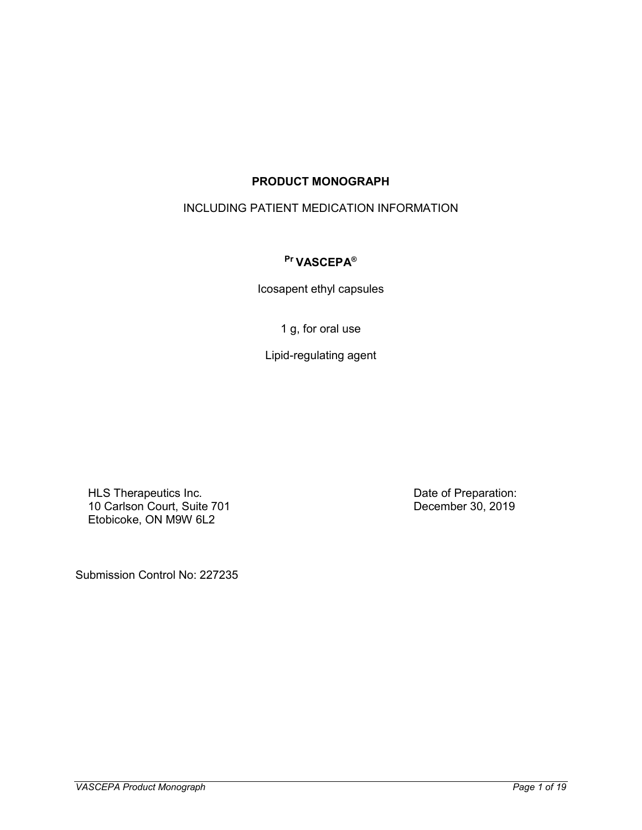## **PRODUCT MONOGRAPH**

## INCLUDING PATIENT MEDICATION INFORMATION

### **Pr VASCEPA®**

Icosapent ethyl capsules

1 g, for oral use

Lipid-regulating agent

HLS Therapeutics Inc. 10 Carlson Court, Suite 701 Etobicoke, ON M9W 6L2

Date of Preparation: December 30, 2019

Submission Control No: 227235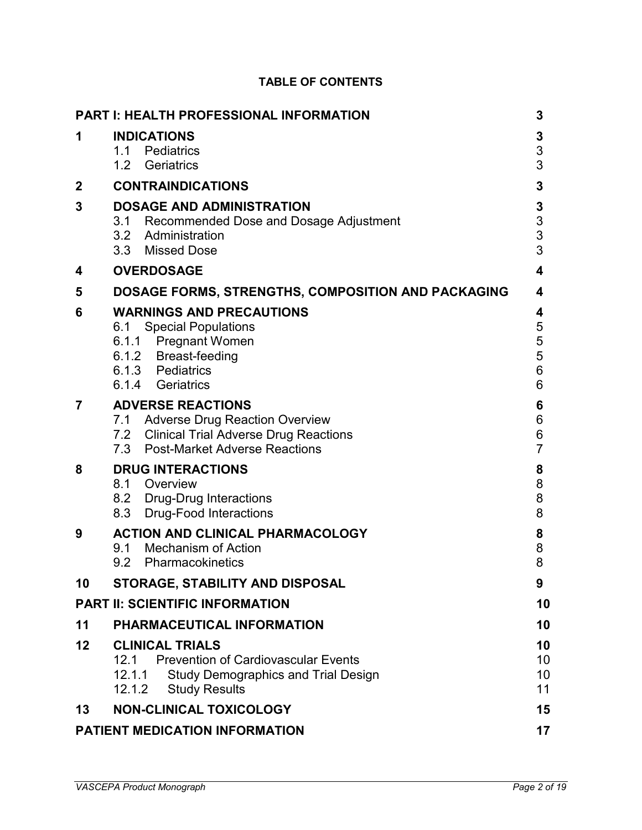| <b>PART I: HEALTH PROFESSIONAL INFORMATION</b><br>3 |                                                                                                                                                              |                            |  |  |  |
|-----------------------------------------------------|--------------------------------------------------------------------------------------------------------------------------------------------------------------|----------------------------|--|--|--|
| 1                                                   | <b>INDICATIONS</b><br>1.1 Pediatrics<br>1.2<br>Geriatrics                                                                                                    | 3<br>3<br>3                |  |  |  |
| 2                                                   | <b>CONTRAINDICATIONS</b>                                                                                                                                     | 3                          |  |  |  |
| 3                                                   | <b>DOSAGE AND ADMINISTRATION</b><br>3.1 Recommended Dose and Dosage Adjustment<br>3.2 Administration<br>3.3 Missed Dose                                      | 3<br>3<br>3<br>3           |  |  |  |
| 4                                                   | <b>OVERDOSAGE</b>                                                                                                                                            | 4                          |  |  |  |
| 5                                                   | DOSAGE FORMS, STRENGTHS, COMPOSITION AND PACKAGING                                                                                                           | 4                          |  |  |  |
| 6                                                   | <b>WARNINGS AND PRECAUTIONS</b><br><b>Special Populations</b><br>6.1<br>6.1.1 Pregnant Women<br>6.1.2 Breast-feeding<br>6.1.3 Pediatrics<br>6.1.4 Geriatrics | 4<br>5<br>5<br>5<br>6<br>6 |  |  |  |
| 7                                                   | <b>ADVERSE REACTIONS</b><br>7.1 Adverse Drug Reaction Overview<br>7.2 Clinical Trial Adverse Drug Reactions<br><b>Post-Market Adverse Reactions</b><br>7.3   | 6<br>6<br>6<br>7           |  |  |  |
| 8                                                   | <b>DRUG INTERACTIONS</b><br>8.1 Overview<br>8.2 Drug-Drug Interactions<br><b>Drug-Food Interactions</b><br>8.3                                               | 8<br>8<br>8<br>8           |  |  |  |
| 9                                                   | <b>ACTION AND CLINICAL PHARMACOLOGY</b><br>9.1 Mechanism of Action<br>9.2<br>Pharmacokinetics                                                                | 8<br>8<br>8                |  |  |  |
| 10                                                  | STORAGE, STABILITY AND DISPOSAL                                                                                                                              | 9                          |  |  |  |
|                                                     | <b>PART II: SCIENTIFIC INFORMATION</b>                                                                                                                       | 10                         |  |  |  |
| 11                                                  | PHARMACEUTICAL INFORMATION                                                                                                                                   | 10                         |  |  |  |
| 12                                                  | <b>CLINICAL TRIALS</b><br>12.1 Prevention of Cardiovascular Events<br>12.1.1<br><b>Study Demographics and Trial Design</b><br>12.1.2<br><b>Study Results</b> | 10<br>10<br>10<br>11       |  |  |  |
| 13                                                  | <b>NON-CLINICAL TOXICOLOGY</b>                                                                                                                               | 15                         |  |  |  |
| PATIENT MEDICATION INFORMATION<br>17                |                                                                                                                                                              |                            |  |  |  |

## **TABLE OF CONTENTS**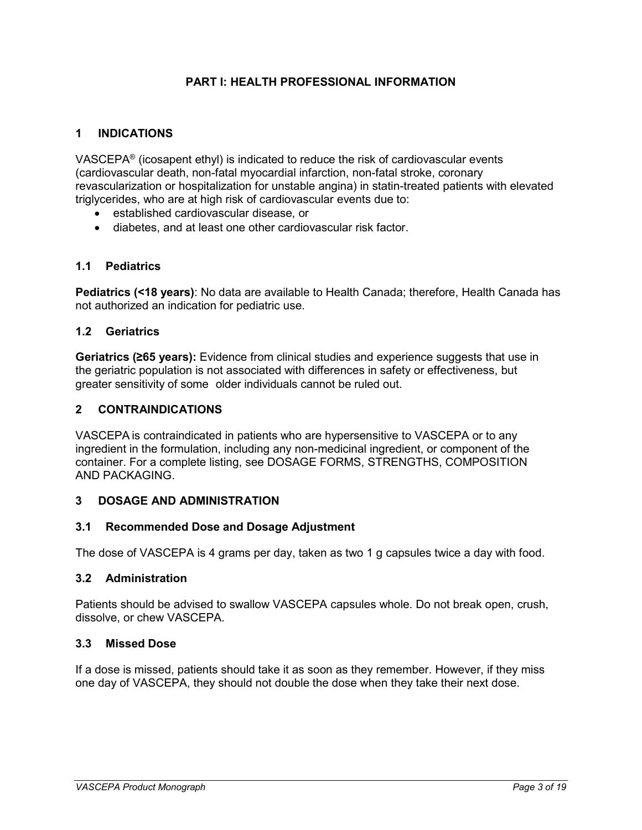### **PART I: HEALTH PROFESSIONAL INFORMATION**

### <span id="page-2-1"></span><span id="page-2-0"></span>**1 INDICATIONS**

VASCEPA® (icosapent ethyl) is indicated to reduce the risk of cardiovascular events (cardiovascular death, non-fatal myocardial infarction, non-fatal stroke, coronary revascularization or hospitalization for unstable angina) in statin-treated patients with elevated triglycerides, who are at high risk of cardiovascular events due to:

- established cardiovascular disease, or
- diabetes, and at least one other cardiovascular risk factor.

### <span id="page-2-2"></span>**1.1 Pediatrics**

**Pediatrics (<18 years)**: No data are available to Health Canada; therefore, Health Canada has not authorized an indication for pediatric use.

### <span id="page-2-3"></span>**1.2 Geriatrics**

**Geriatrics (≥65 years):** Evidence from clinical studies and experience suggests that use in the geriatric population is not associated with differences in safety or effectiveness, but greater sensitivity of some older individuals cannot be ruled out.

#### <span id="page-2-4"></span>**2 CONTRAINDICATIONS**

VASCEPA is contraindicated in patients who are hypersensitive to VASCEPA or to any ingredient in the formulation, including any non-medicinal ingredient, or component of the container. For a complete listing, see [DOSAGE FORMS, STRENGTHS, COMPOSITION](#page-3-1)  [AND PACKAGING.](#page-3-1)

### <span id="page-2-5"></span>**3 DOSAGE AND ADMINISTRATION**

#### <span id="page-2-6"></span>**3.1 Recommended Dose and Dosage Adjustment**

<span id="page-2-7"></span>The dose of VASCEPA is 4 grams per day, taken as two 1 g capsules twice a day with food.

#### **3.2 Administration**

Patients should be advised to swallow VASCEPA capsules whole. Do not break open, crush, dissolve, or chew VASCEPA.

#### <span id="page-2-8"></span>**3.3 Missed Dose**

If a dose is missed, patients should take it as soon as they remember. However, if they miss one day of VASCEPA, they should not double the dose when they take their next dose.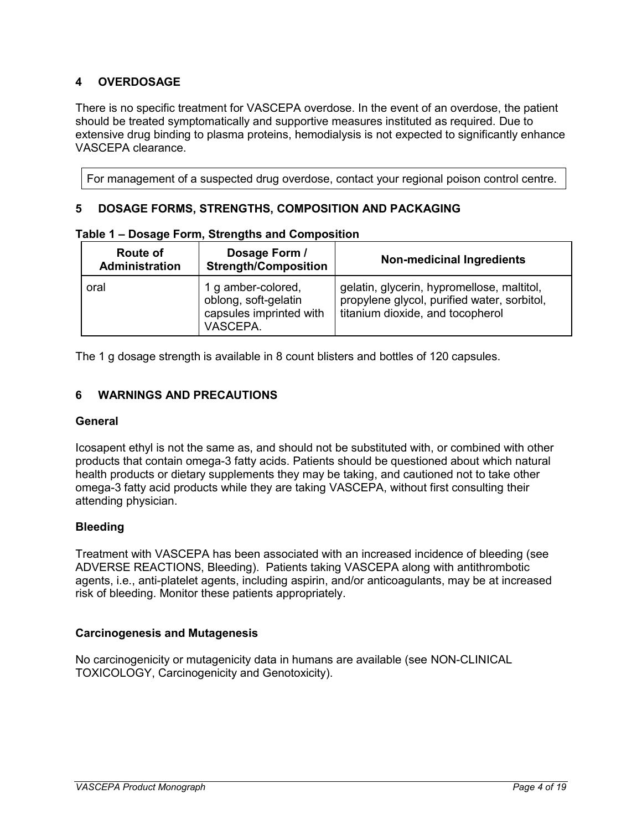## <span id="page-3-0"></span>**4 OVERDOSAGE**

There is no specific treatment for VASCEPA overdose. In the event of an overdose, the patient should be treated symptomatically and supportive measures instituted as required. Due to extensive drug binding to plasma proteins, hemodialysis is not expected to significantly enhance VASCEPA clearance.

For management of a suspected drug overdose, contact your regional poison control centre.

### <span id="page-3-1"></span>**5 DOSAGE FORMS, STRENGTHS, COMPOSITION AND PACKAGING**

| Route of<br>Administration | Dosage Form /<br><b>Strength/Composition</b>                                      | <b>Non-medicinal Ingredients</b>                                                                                              |
|----------------------------|-----------------------------------------------------------------------------------|-------------------------------------------------------------------------------------------------------------------------------|
| oral                       | 1 g amber-colored,<br>oblong, soft-gelatin<br>capsules imprinted with<br>VASCEPA. | gelatin, glycerin, hypromellose, maltitol,<br>propylene glycol, purified water, sorbitol,<br>titanium dioxide, and tocopherol |

|  |  | Table 1 – Dosage Form, Strengths and Composition |
|--|--|--------------------------------------------------|
|  |  |                                                  |

The 1 g dosage strength is available in 8 count blisters and bottles of 120 capsules.

### <span id="page-3-2"></span>**6 WARNINGS AND PRECAUTIONS**

#### **General**

Icosapent ethyl is not the same as, and should not be substituted with, or combined with other products that contain omega-3 fatty acids. Patients should be questioned about which natural health products or dietary supplements they may be taking, and cautioned not to take other omega-3 fatty acid products while they are taking VASCEPA, without first consulting their attending physician.

### **Bleeding**

Treatment with VASCEPA has been associated with an increased incidence of bleeding (see ADVERSE REACTIONS, Bleeding). Patients taking VASCEPA along with antithrombotic agents, i.e., anti-platelet agents, including aspirin, and/or anticoagulants, may be at increased risk of bleeding. Monitor these patients appropriately.

### **Carcinogenesis and Mutagenesis**

No carcinogenicity or mutagenicity data in humans are available (see NON-CLINICAL TOXICOLOGY, Carcinogenicity and Genotoxicity).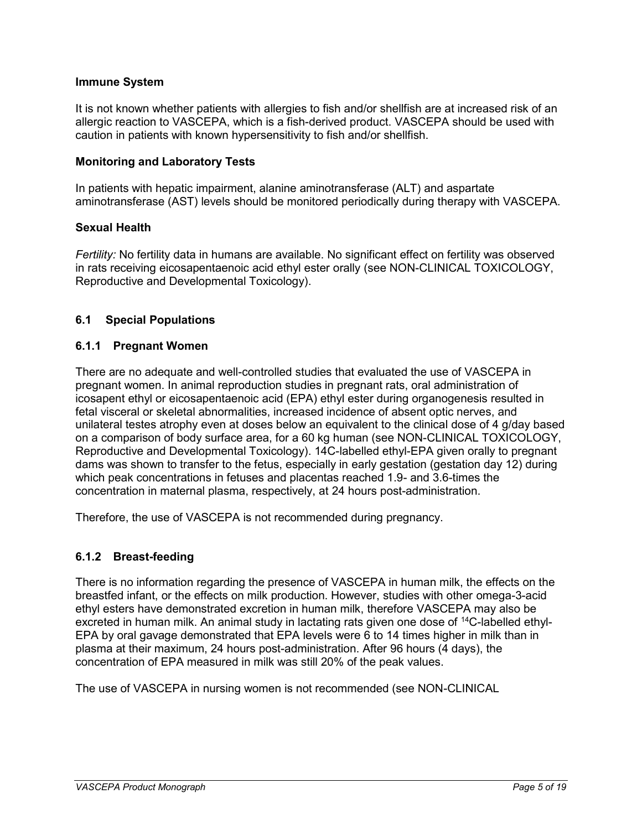### **Immune System**

It is not known whether patients with allergies to fish and/or shellfish are at increased risk of an allergic reaction to VASCEPA, which is a fish-derived product. VASCEPA should be used with caution in patients with known hypersensitivity to fish and/or shellfish.

### **Monitoring and Laboratory Tests**

In patients with hepatic impairment, alanine aminotransferase (ALT) and aspartate aminotransferase (AST) levels should be monitored periodically during therapy with VASCEPA.

### **Sexual Health**

*Fertility:* No fertility data in humans are available. No significant effect on fertility was observed in rats receiving eicosapentaenoic acid ethyl ester orally (see NON-CLINICAL TOXICOLOGY, Reproductive and Developmental Toxicology).

### <span id="page-4-0"></span>**6.1 Special Populations**

### <span id="page-4-1"></span>**6.1.1 Pregnant Women**

There are no adequate and well-controlled studies that evaluated the use of VASCEPA in pregnant women. In animal reproduction studies in pregnant rats, oral administration of icosapent ethyl or eicosapentaenoic acid (EPA) ethyl ester during organogenesis resulted in fetal visceral or skeletal abnormalities, increased incidence of absent optic nerves, and unilateral testes atrophy even at doses below an equivalent to the clinical dose of 4 g/day based on a comparison of body surface area, for a 60 kg human (see NON-CLINICAL TOXICOLOGY, Reproductive and Developmental Toxicology). 14C-labelled ethyl-EPA given orally to pregnant dams was shown to transfer to the fetus, especially in early gestation (gestation day 12) during which peak concentrations in fetuses and placentas reached 1.9- and 3.6-times the concentration in maternal plasma, respectively, at 24 hours post-administration.

Therefore, the use of VASCEPA is not recommended during pregnancy.

## <span id="page-4-2"></span>**6.1.2 Breast-feeding**

There is no information regarding the presence of VASCEPA in human milk, the effects on the breastfed infant, or the effects on milk production. However, studies with other omega-3-acid ethyl esters have demonstrated excretion in human milk, therefore VASCEPA may also be excreted in human milk. An animal study in lactating rats given one dose of <sup>14</sup>C-labelled ethyl-EPA by oral gavage demonstrated that EPA levels were 6 to 14 times higher in milk than in plasma at their maximum, 24 hours post-administration. After 96 hours (4 days), the concentration of EPA measured in milk was still 20% of the peak values.

The use of VASCEPA in nursing women is not recommended (see NON-CLINICAL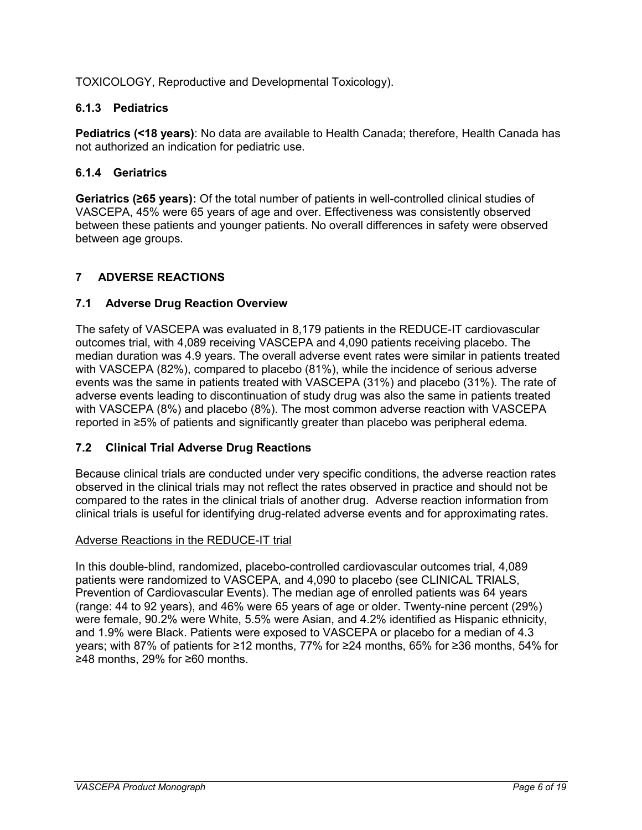TOXICOLOGY, Reproductive and Developmental Toxicology).

## <span id="page-5-0"></span>**6.1.3 Pediatrics**

**Pediatrics (<18 years)**: No data are available to Health Canada; therefore, Health Canada has not authorized an indication for pediatric use.

## <span id="page-5-1"></span>**6.1.4 Geriatrics**

**Geriatrics (≥65 years):** Of the total number of patients in well-controlled clinical studies of VASCEPA, 45% were 65 years of age and over. Effectiveness was consistently observed between these patients and younger patients. No overall differences in safety were observed between age groups.

## <span id="page-5-2"></span>**7 ADVERSE REACTIONS**

## <span id="page-5-3"></span>**7.1 Adverse Drug Reaction Overview**

The safety of VASCEPA was evaluated in 8,179 patients in the REDUCE-IT cardiovascular outcomes trial, with 4,089 receiving VASCEPA and 4,090 patients receiving placebo. The median duration was 4.9 years. The overall adverse event rates were similar in patients treated with VASCEPA (82%), compared to placebo (81%), while the incidence of serious adverse events was the same in patients treated with VASCEPA (31%) and placebo (31%). The rate of adverse events leading to discontinuation of study drug was also the same in patients treated with VASCEPA (8%) and placebo (8%). The most common adverse reaction with VASCEPA reported in ≥5% of patients and significantly greater than placebo was peripheral edema.

## <span id="page-5-4"></span>**7.2 Clinical Trial Adverse Drug Reactions**

Because clinical trials are conducted under very specific conditions, the adverse reaction rates observed in the clinical trials may not reflect the rates observed in practice and should not be compared to the rates in the clinical trials of another drug. Adverse reaction information from clinical trials is useful for identifying drug-related adverse events and for approximating rates.

## Adverse Reactions in the REDUCE-IT trial

In this double-blind, randomized, placebo-controlled cardiovascular outcomes trial, 4,089 patients were randomized to VASCEPA, and 4,090 to placebo (see CLINICAL TRIALS, Prevention of Cardiovascular Events). The median age of enrolled patients was 64 years (range: 44 to 92 years), and 46% were 65 years of age or older. Twenty-nine percent (29%) were female, 90.2% were White, 5.5% were Asian, and 4.2% identified as Hispanic ethnicity, and 1.9% were Black. Patients were exposed to VASCEPA or placebo for a median of 4.3 years; with 87% of patients for ≥12 months, 77% for ≥24 months, 65% for ≥36 months, 54% for ≥48 months, 29% for ≥60 months.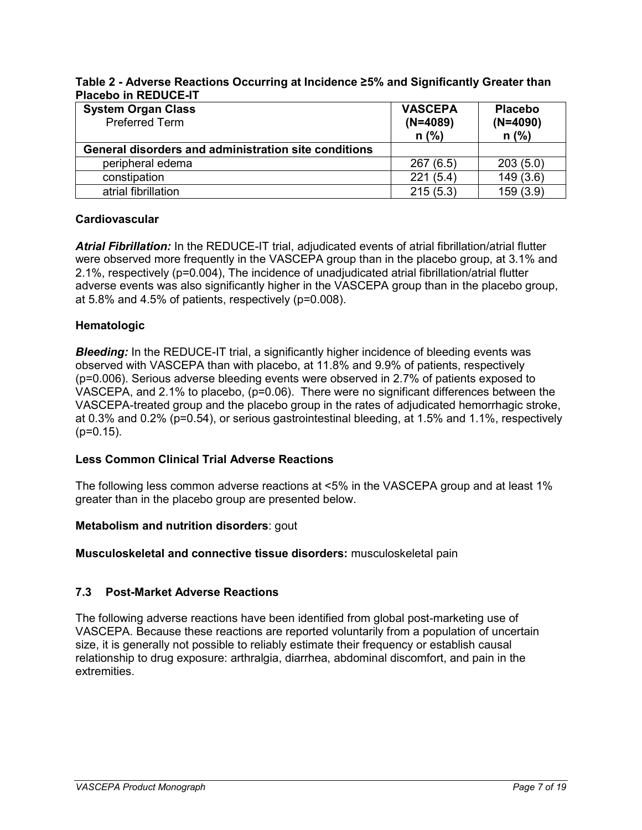### **Table 2 - Adverse Reactions Occurring at Incidence ≥5% and Significantly Greater than Placebo in REDUCE-IT**

| <b>System Organ Class</b><br><b>Preferred Term</b>   | <b>VASCEPA</b><br>$(N=4089)$<br>$n$ (%) | <b>Placebo</b><br>$(N=4090)$<br>$n$ (%) |
|------------------------------------------------------|-----------------------------------------|-----------------------------------------|
| General disorders and administration site conditions |                                         |                                         |
| peripheral edema                                     | 267(6.5)                                | 203(5.0)                                |
| constipation                                         | 221(5.4)                                | 149(3.6)                                |
| atrial fibrillation                                  | 215(5.3)                                | 159(3.9)                                |

## **Cardiovascular**

*Atrial Fibrillation:* In the REDUCE-IT trial, adjudicated events of atrial fibrillation/atrial flutter were observed more frequently in the VASCEPA group than in the placebo group, at 3.1% and 2.1%, respectively (p=0.004), The incidence of unadjudicated atrial fibrillation/atrial flutter adverse events was also significantly higher in the VASCEPA group than in the placebo group, at 5.8% and 4.5% of patients, respectively (p=0.008).

### **Hematologic**

**Bleeding:** In the REDUCE-IT trial, a significantly higher incidence of bleeding events was observed with VASCEPA than with placebo, at 11.8% and 9.9% of patients, respectively (p=0.006). Serious adverse bleeding events were observed in 2.7% of patients exposed to VASCEPA, and 2.1% to placebo, (p=0.06). There were no significant differences between the VASCEPA-treated group and the placebo group in the rates of adjudicated hemorrhagic stroke, at 0.3% and 0.2% (p=0.54), or serious gastrointestinal bleeding, at 1.5% and 1.1%, respectively  $(p=0.15)$ .

### **Less Common Clinical Trial Adverse Reactions**

The following less common adverse reactions at <5% in the VASCEPA group and at least 1% greater than in the placebo group are presented below.

### **Metabolism and nutrition disorders**: gout

**Musculoskeletal and connective tissue disorders:** musculoskeletal pain

### <span id="page-6-0"></span>**7.3 Post-Market Adverse Reactions**

The following adverse reactions have been identified from global post-marketing use of VASCEPA. Because these reactions are reported voluntarily from a population of uncertain size, it is generally not possible to reliably estimate their frequency or establish causal relationship to drug exposure: arthralgia, diarrhea, abdominal discomfort, and pain in the extremities.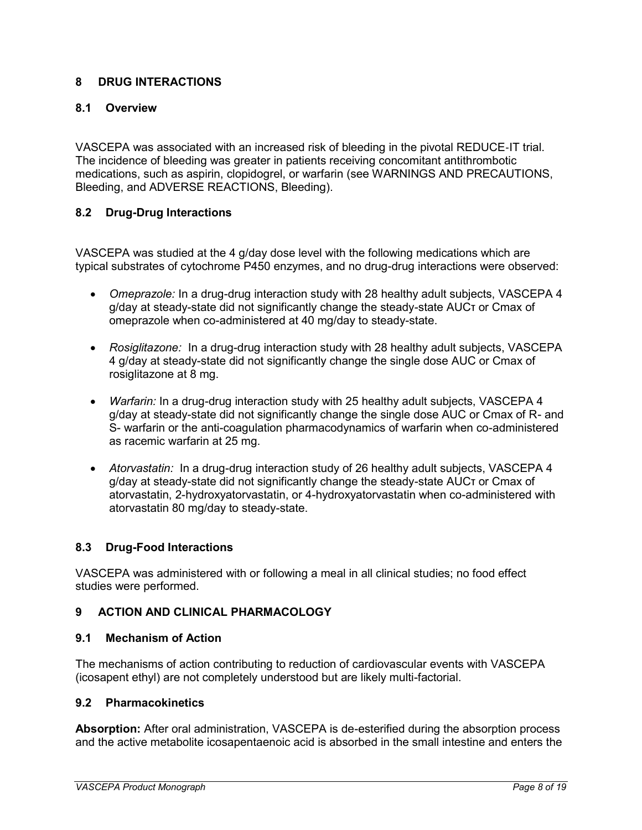## <span id="page-7-0"></span>**8 DRUG INTERACTIONS**

### <span id="page-7-1"></span>**8.1 Overview**

VASCEPA was associated with an increased risk of bleeding in the pivotal REDUCE‐IT trial. The incidence of bleeding was greater in patients receiving concomitant antithrombotic medications, such as aspirin, clopidogrel, or warfarin (see WARNINGS AND PRECAUTIONS, Bleeding, and ADVERSE REACTIONS, Bleeding).

### <span id="page-7-2"></span>**8.2 Drug-Drug Interactions**

VASCEPA was studied at the 4 g/day dose level with the following medications which are typical substrates of cytochrome P450 enzymes, and no drug-drug interactions were observed:

- *Omeprazole:* In a drug-drug interaction study with 28 healthy adult subjects, VASCEPA 4 g/day at steady-state did not significantly change the steady-state AUCτ or Cmax of omeprazole when co-administered at 40 mg/day to steady-state.
- *Rosiglitazone:* In a drug-drug interaction study with 28 healthy adult subjects, VASCEPA 4 g/day at steady-state did not significantly change the single dose AUC or Cmax of rosiglitazone at 8 mg.
- *Warfarin:* In a drug-drug interaction study with 25 healthy adult subjects, VASCEPA 4 g/day at steady-state did not significantly change the single dose AUC or Cmax of R- and S- warfarin or the anti-coagulation pharmacodynamics of warfarin when co-administered as racemic warfarin at 25 mg.
- *Atorvastatin:* In a drug-drug interaction study of 26 healthy adult subjects, VASCEPA 4 g/day at steady-state did not significantly change the steady-state AUCτ or Cmax of atorvastatin, 2-hydroxyatorvastatin, or 4-hydroxyatorvastatin when co-administered with atorvastatin 80 mg/day to steady-state.

### <span id="page-7-3"></span>**8.3 Drug-Food Interactions**

VASCEPA was administered with or following a meal in all clinical studies; no food effect studies were performed.

### <span id="page-7-4"></span>**9 ACTION AND CLINICAL PHARMACOLOGY**

### <span id="page-7-5"></span>**9.1 Mechanism of Action**

The mechanisms of action contributing to reduction of cardiovascular events with VASCEPA (icosapent ethyl) are not completely understood but are likely multi-factorial.

### <span id="page-7-6"></span>**9.2 Pharmacokinetics**

**Absorption:** After oral administration, VASCEPA is de-esterified during the absorption process and the active metabolite icosapentaenoic acid is absorbed in the small intestine and enters the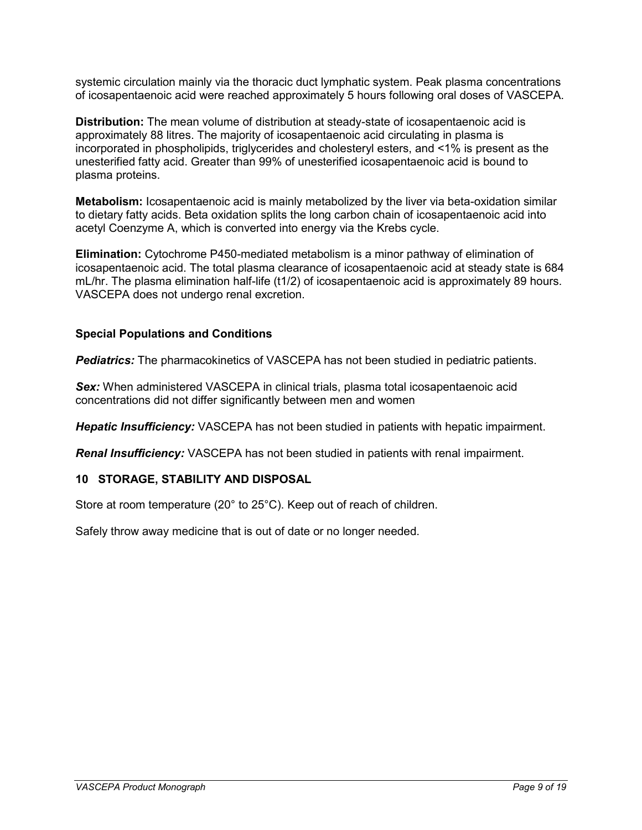systemic circulation mainly via the thoracic duct lymphatic system. Peak plasma concentrations of icosapentaenoic acid were reached approximately 5 hours following oral doses of VASCEPA.

**Distribution:** The mean volume of distribution at steady-state of icosapentaenoic acid is approximately 88 litres. The majority of icosapentaenoic acid circulating in plasma is incorporated in phospholipids, triglycerides and cholesteryl esters, and <1% is present as the unesterified fatty acid. Greater than 99% of unesterified icosapentaenoic acid is bound to plasma proteins.

**Metabolism:** Icosapentaenoic acid is mainly metabolized by the liver via beta-oxidation similar to dietary fatty acids. Beta oxidation splits the long carbon chain of icosapentaenoic acid into acetyl Coenzyme A, which is converted into energy via the Krebs cycle.

**Elimination:** Cytochrome P450-mediated metabolism is a minor pathway of elimination of icosapentaenoic acid. The total plasma clearance of icosapentaenoic acid at steady state is 684 mL/hr. The plasma elimination half-life (t1/2) of icosapentaenoic acid is approximately 89 hours. VASCEPA does not undergo renal excretion.

### **Special Populations and Conditions**

*Pediatrics:* The pharmacokinetics of VASCEPA has not been studied in pediatric patients.

*Sex:* When administered VASCEPA in clinical trials, plasma total icosapentaenoic acid concentrations did not differ significantly between men and women

*Hepatic Insufficiency:* VASCEPA has not been studied in patients with hepatic impairment.

<span id="page-8-0"></span>*Renal Insufficiency:* VASCEPA has not been studied in patients with renal impairment.

### **10 STORAGE, STABILITY AND DISPOSAL**

Store at room temperature (20° to 25°C). Keep out of reach of children.

Safely throw away medicine that is out of date or no longer needed.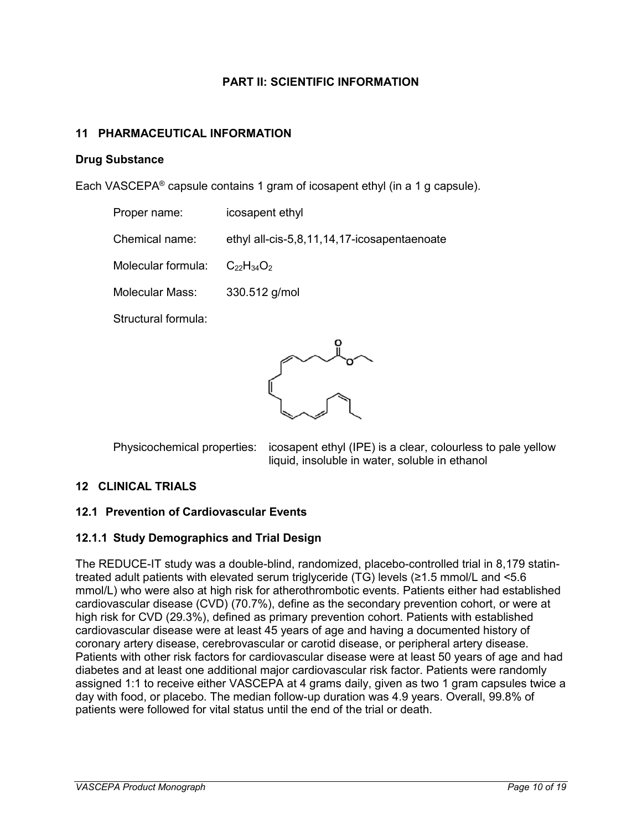### **PART II: SCIENTIFIC INFORMATION**

### <span id="page-9-1"></span><span id="page-9-0"></span>**11 PHARMACEUTICAL INFORMATION**

#### **Drug Substance**

Each VASCEPA® capsule contains 1 gram of icosapent ethyl (in a 1 g capsule).

| Proper name:                         | icosapent ethyl                             |
|--------------------------------------|---------------------------------------------|
| Chemical name:                       | ethyl all-cis-5,8,11,14,17-icosapentaenoate |
| Molecular formula: $C_{22}H_{34}O_2$ |                                             |
| Molecular Mass:                      | 330.512 g/mol                               |

Structural formula:



Physicochemical properties: icosapent ethyl (IPE) is a clear, colourless to pale yellow liquid, insoluble in water, soluble in ethanol

### <span id="page-9-2"></span>**12 CLINICAL TRIALS**

### <span id="page-9-3"></span>**12.1 Prevention of Cardiovascular Events**

### <span id="page-9-4"></span>**12.1.1 Study Demographics and Trial Design**

The REDUCE-IT study was a double-blind, randomized, placebo-controlled trial in 8,179 statintreated adult patients with elevated serum triglyceride (TG) levels (≥1.5 mmol/L and <5.6 mmol/L) who were also at high risk for atherothrombotic events. Patients either had established cardiovascular disease (CVD) (70.7%), define as the secondary prevention cohort, or were at high risk for CVD (29.3%), defined as primary prevention cohort. Patients with established cardiovascular disease were at least 45 years of age and having a documented history of coronary artery disease, cerebrovascular or carotid disease, or peripheral artery disease. Patients with other risk factors for cardiovascular disease were at least 50 years of age and had diabetes and at least one additional major cardiovascular risk factor. Patients were randomly assigned 1:1 to receive either VASCEPA at 4 grams daily, given as two 1 gram capsules twice a day with food, or placebo. The median follow-up duration was 4.9 years. Overall, 99.8% of patients were followed for vital status until the end of the trial or death.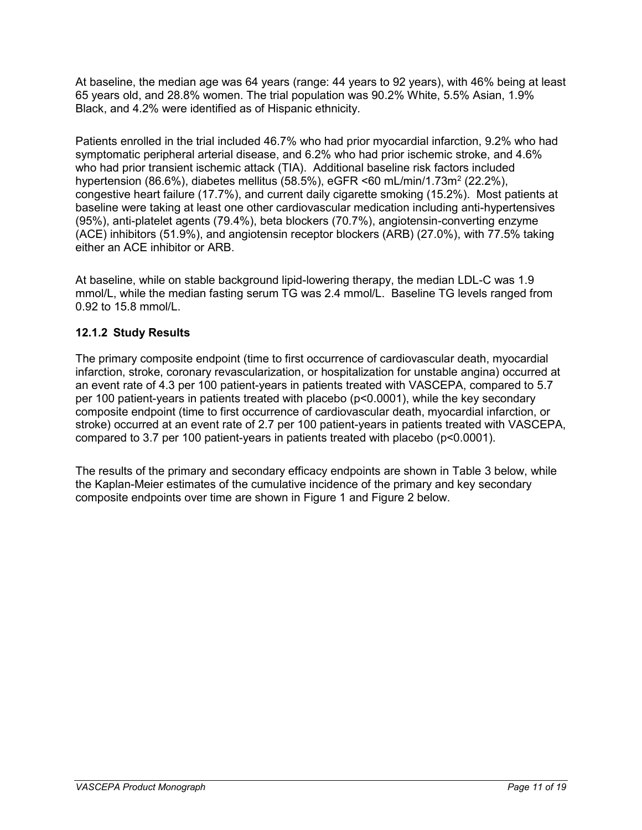At baseline, the median age was 64 years (range: 44 years to 92 years), with 46% being at least 65 years old, and 28.8% women. The trial population was 90.2% White, 5.5% Asian, 1.9% Black, and 4.2% were identified as of Hispanic ethnicity.

Patients enrolled in the trial included 46.7% who had prior myocardial infarction, 9.2% who had symptomatic peripheral arterial disease, and 6.2% who had prior ischemic stroke, and 4.6% who had prior transient ischemic attack (TIA). Additional baseline risk factors included hypertension (86.6%), diabetes mellitus (58.5%), eGFR <60 mL/min/1.73m<sup>2</sup> (22.2%), congestive heart failure (17.7%), and current daily cigarette smoking (15.2%). Most patients at baseline were taking at least one other cardiovascular medication including anti-hypertensives (95%), anti-platelet agents (79.4%), beta blockers (70.7%), angiotensin-converting enzyme (ACE) inhibitors (51.9%), and angiotensin receptor blockers (ARB) (27.0%), with 77.5% taking either an ACE inhibitor or ARB.

At baseline, while on stable background lipid-lowering therapy, the median LDL-C was 1.9 mmol/L, while the median fasting serum TG was 2.4 mmol/L. Baseline TG levels ranged from 0.92 to 15.8 mmol/L.

## <span id="page-10-0"></span>**12.1.2 Study Results**

The primary composite endpoint (time to first occurrence of cardiovascular death, myocardial infarction, stroke, coronary revascularization, or hospitalization for unstable angina) occurred at an event rate of 4.3 per 100 patient-years in patients treated with VASCEPA, compared to 5.7 per 100 patient-years in patients treated with placebo (p<0.0001), while the key secondary composite endpoint (time to first occurrence of cardiovascular death, myocardial infarction, or stroke) occurred at an event rate of 2.7 per 100 patient-years in patients treated with VASCEPA, compared to 3.7 per 100 patient-years in patients treated with placebo (p<0.0001).

The results of the primary and secondary efficacy endpoints are shown in Table 3 below, while the Kaplan-Meier estimates of the cumulative incidence of the primary and key secondary composite endpoints over time are shown in Figure 1 and Figure 2 below.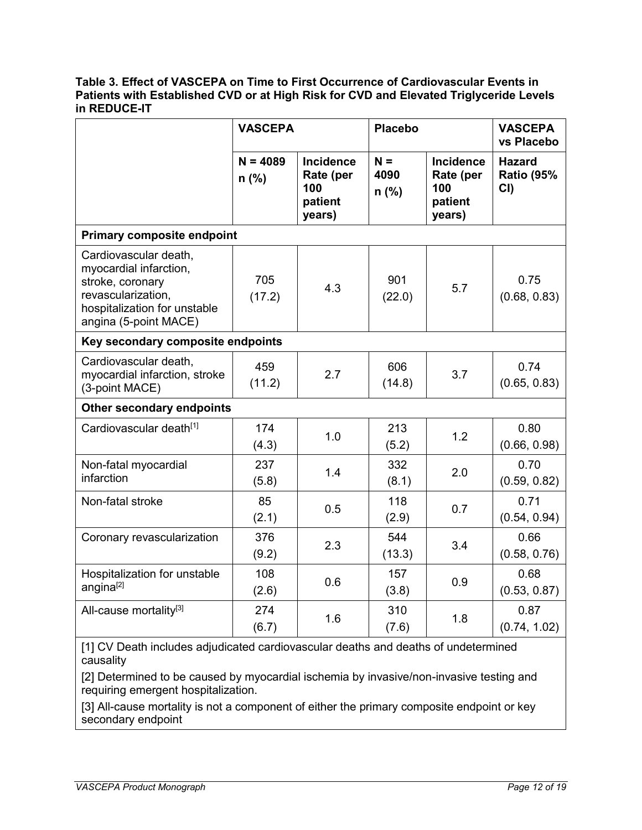#### **Table 3. Effect of VASCEPA on Time to First Occurrence of Cardiovascular Events in Patients with Established CVD or at High Risk for CVD and Elevated Triglyceride Levels in REDUCE-IT**

|                                                                                                                                                    | <b>VASCEPA</b>        |                                                           | <b>Placebo</b>           |                                                           | <b>VASCEPA</b><br>vs Placebo              |  |
|----------------------------------------------------------------------------------------------------------------------------------------------------|-----------------------|-----------------------------------------------------------|--------------------------|-----------------------------------------------------------|-------------------------------------------|--|
|                                                                                                                                                    | $N = 4089$<br>$n$ (%) | <b>Incidence</b><br>Rate (per<br>100<br>patient<br>years) | $N =$<br>4090<br>$n$ (%) | <b>Incidence</b><br>Rate (per<br>100<br>patient<br>years) | <b>Hazard</b><br><b>Ratio (95%</b><br>CI) |  |
| <b>Primary composite endpoint</b>                                                                                                                  |                       |                                                           |                          |                                                           |                                           |  |
| Cardiovascular death,<br>myocardial infarction,<br>stroke, coronary<br>revascularization,<br>hospitalization for unstable<br>angina (5-point MACE) | 705<br>(17.2)         | 4.3                                                       | 901<br>(22.0)            | 5.7                                                       | 0.75<br>(0.68, 0.83)                      |  |
| Key secondary composite endpoints                                                                                                                  |                       |                                                           |                          |                                                           |                                           |  |
| Cardiovascular death,<br>myocardial infarction, stroke<br>(3-point MACE)                                                                           | 459<br>(11.2)         | 2.7                                                       | 606<br>(14.8)            | 3.7                                                       | 0.74<br>(0.65, 0.83)                      |  |
| Other secondary endpoints                                                                                                                          |                       |                                                           |                          |                                                           |                                           |  |
| Cardiovascular death <sup>[1]</sup>                                                                                                                | 174<br>(4.3)          | 1.0                                                       | 213<br>(5.2)             | 1.2                                                       | 0.80<br>(0.66, 0.98)                      |  |
| Non-fatal myocardial<br>infarction                                                                                                                 | 237<br>(5.8)          | 1.4                                                       | 332<br>(8.1)             | 2.0                                                       | 0.70<br>(0.59, 0.82)                      |  |
| Non-fatal stroke                                                                                                                                   | 85<br>(2.1)           | 0.5                                                       | 118<br>(2.9)             | 0.7                                                       | 0.71<br>(0.54, 0.94)                      |  |
| Coronary revascularization                                                                                                                         | 376<br>(9.2)          | 2.3                                                       | 544<br>(13.3)            | 3.4                                                       | 0.66<br>(0.58, 0.76)                      |  |
| Hospitalization for unstable<br>angina[2]                                                                                                          | 108<br>(2.6)          | 0.6                                                       | 157<br>(3.8)             | 0.9                                                       | 0.68<br>(0.53, 0.87)                      |  |
| All-cause mortality <sup>[3]</sup>                                                                                                                 | 274<br>(6.7)          | 1.6                                                       | 310<br>(7.6)             | 1.8                                                       | 0.87<br>(0.74, 1.02)                      |  |

[1] CV Death includes adjudicated cardiovascular deaths and deaths of undetermined causality

[2] Determined to be caused by myocardial ischemia by invasive/non-invasive testing and requiring emergent hospitalization.

[3] All-cause mortality is not a component of either the primary composite endpoint or key secondary endpoint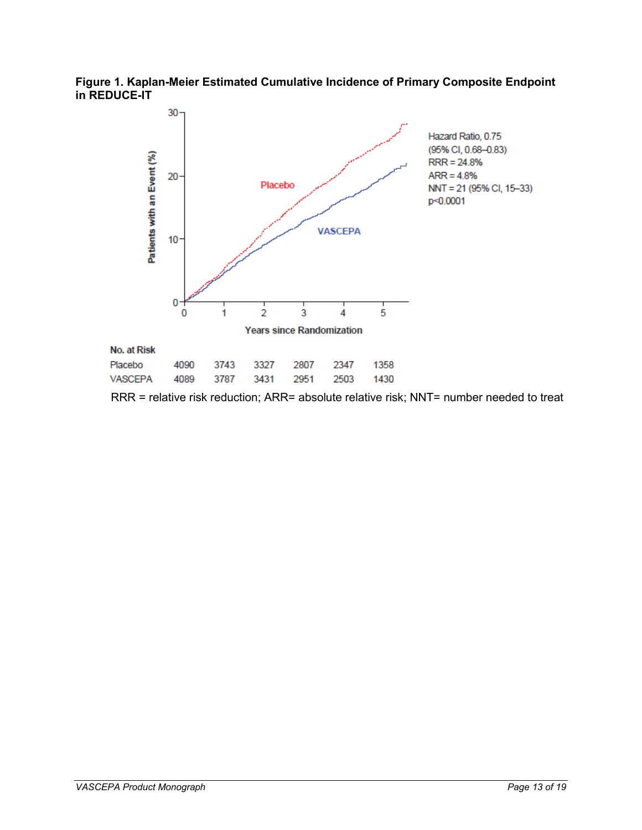**Figure 1. Kaplan-Meier Estimated Cumulative Incidence of Primary Composite Endpoint in REDUCE-IT**



RRR = relative risk reduction; ARR= absolute relative risk; NNT= number needed to treat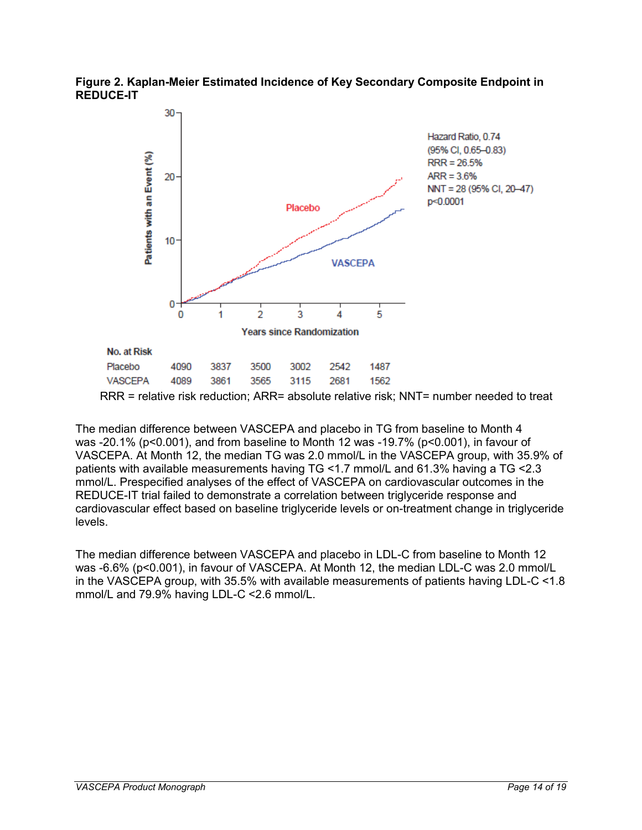



The median difference between VASCEPA and placebo in TG from baseline to Month 4 was -20.1% (p<0.001), and from baseline to Month 12 was -19.7% (p<0.001), in favour of

VASCEPA. At Month 12, the median TG was 2.0 mmol/L in the VASCEPA group, with 35.9% of patients with available measurements having TG <1.7 mmol/L and 61.3% having a TG <2.3 mmol/L. Prespecified analyses of the effect of VASCEPA on cardiovascular outcomes in the REDUCE-IT trial failed to demonstrate a correlation between triglyceride response and cardiovascular effect based on baseline triglyceride levels or on-treatment change in triglyceride levels.

<span id="page-13-0"></span>The median difference between VASCEPA and placebo in LDL-C from baseline to Month 12 was -6.6% (p<0.001), in favour of VASCEPA. At Month 12, the median LDL-C was 2.0 mmol/L in the VASCEPA group, with 35.5% with available measurements of patients having LDL-C <1.8 mmol/L and 79.9% having LDL-C <2.6 mmol/L.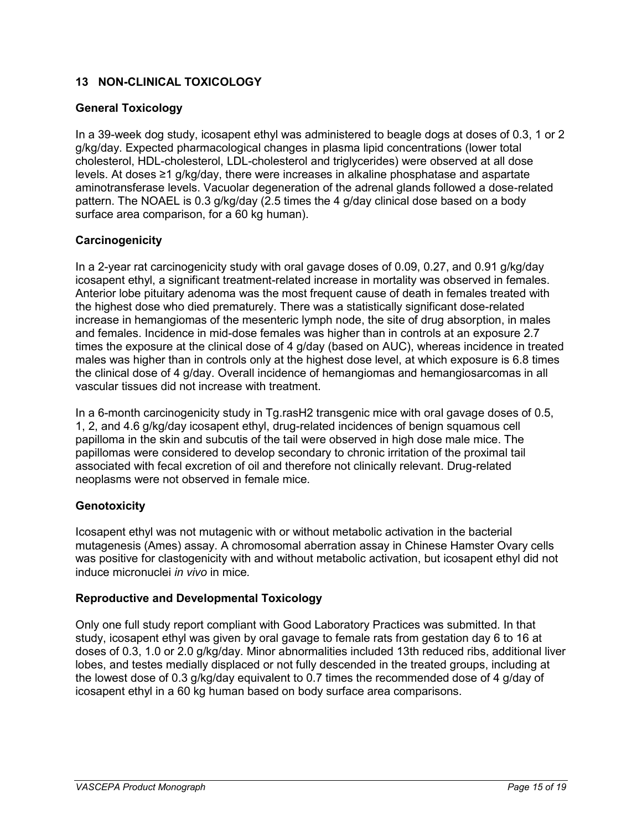## **13 NON-CLINICAL TOXICOLOGY**

### **General Toxicology**

In a 39-week dog study, icosapent ethyl was administered to beagle dogs at doses of 0.3, 1 or 2 g/kg/day. Expected pharmacological changes in plasma lipid concentrations (lower total cholesterol, HDL-cholesterol, LDL-cholesterol and triglycerides) were observed at all dose levels. At doses ≥1 g/kg/day, there were increases in alkaline phosphatase and aspartate aminotransferase levels. Vacuolar degeneration of the adrenal glands followed a dose-related pattern. The NOAEL is 0.3 g/kg/day (2.5 times the 4 g/day clinical dose based on a body surface area comparison, for a 60 kg human).

### **Carcinogenicity**

In a 2-year rat carcinogenicity study with oral gavage doses of 0.09, 0.27, and 0.91 g/kg/day icosapent ethyl, a significant treatment-related increase in mortality was observed in females. Anterior lobe pituitary adenoma was the most frequent cause of death in females treated with the highest dose who died prematurely. There was a statistically significant dose-related increase in hemangiomas of the mesenteric lymph node, the site of drug absorption, in males and females. Incidence in mid-dose females was higher than in controls at an exposure 2.7 times the exposure at the clinical dose of 4 g/day (based on AUC), whereas incidence in treated males was higher than in controls only at the highest dose level, at which exposure is 6.8 times the clinical dose of 4 g/day. Overall incidence of hemangiomas and hemangiosarcomas in all vascular tissues did not increase with treatment.

In a 6-month carcinogenicity study in Tg.rasH2 transgenic mice with oral gavage doses of 0.5, 1, 2, and 4.6 g/kg/day icosapent ethyl, drug-related incidences of benign squamous cell papilloma in the skin and subcutis of the tail were observed in high dose male mice. The papillomas were considered to develop secondary to chronic irritation of the proximal tail associated with fecal excretion of oil and therefore not clinically relevant. Drug-related neoplasms were not observed in female mice.

## **Genotoxicity**

Icosapent ethyl was not mutagenic with or without metabolic activation in the bacterial mutagenesis (Ames) assay. A chromosomal aberration assay in Chinese Hamster Ovary cells was positive for clastogenicity with and without metabolic activation, but icosapent ethyl did not induce micronuclei *in vivo* in mice*.*

### **Reproductive and Developmental Toxicology**

Only one full study report compliant with Good Laboratory Practices was submitted. In that study, icosapent ethyl was given by oral gavage to female rats from gestation day 6 to 16 at doses of 0.3, 1.0 or 2.0 g/kg/day. Minor abnormalities included 13th reduced ribs, additional liver lobes, and testes medially displaced or not fully descended in the treated groups, including at the lowest dose of 0.3 g/kg/day equivalent to 0.7 times the recommended dose of 4 g/day of icosapent ethyl in a 60 kg human based on body surface area comparisons.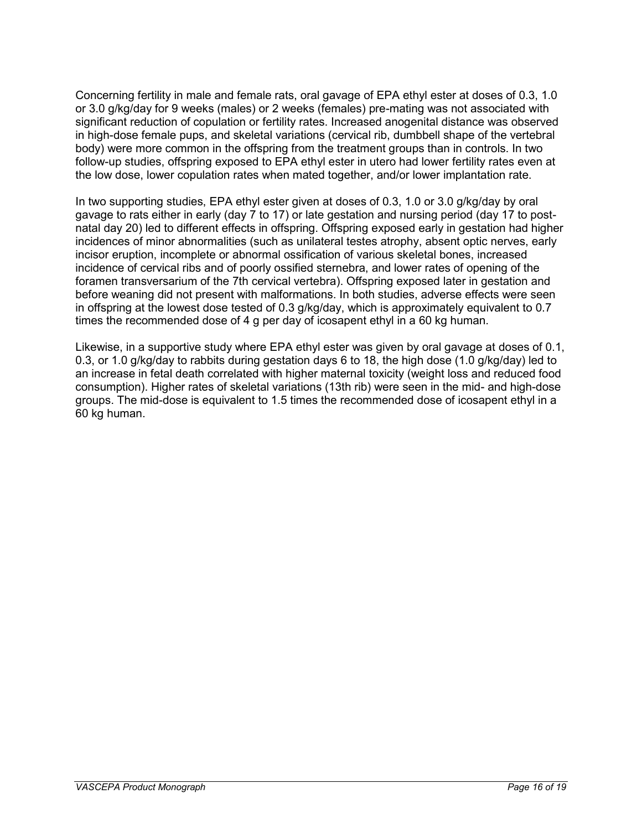Concerning fertility in male and female rats, oral gavage of EPA ethyl ester at doses of 0.3, 1.0 or 3.0 g/kg/day for 9 weeks (males) or 2 weeks (females) pre-mating was not associated with significant reduction of copulation or fertility rates. Increased anogenital distance was observed in high-dose female pups, and skeletal variations (cervical rib, dumbbell shape of the vertebral body) were more common in the offspring from the treatment groups than in controls. In two follow-up studies, offspring exposed to EPA ethyl ester in utero had lower fertility rates even at the low dose, lower copulation rates when mated together, and/or lower implantation rate.

In two supporting studies, EPA ethyl ester given at doses of 0.3, 1.0 or 3.0 g/kg/day by oral gavage to rats either in early (day 7 to 17) or late gestation and nursing period (day 17 to postnatal day 20) led to different effects in offspring. Offspring exposed early in gestation had higher incidences of minor abnormalities (such as unilateral testes atrophy, absent optic nerves, early incisor eruption, incomplete or abnormal ossification of various skeletal bones, increased incidence of cervical ribs and of poorly ossified sternebra, and lower rates of opening of the foramen transversarium of the 7th cervical vertebra). Offspring exposed later in gestation and before weaning did not present with malformations. In both studies, adverse effects were seen in offspring at the lowest dose tested of 0.3 g/kg/day, which is approximately equivalent to 0.7 times the recommended dose of 4 g per day of icosapent ethyl in a 60 kg human.

Likewise, in a supportive study where EPA ethyl ester was given by oral gavage at doses of 0.1, 0.3, or 1.0 g/kg/day to rabbits during gestation days 6 to 18, the high dose (1.0 g/kg/day) led to an increase in fetal death correlated with higher maternal toxicity (weight loss and reduced food consumption). Higher rates of skeletal variations (13th rib) were seen in the mid- and high-dose groups. The mid-dose is equivalent to 1.5 times the recommended dose of icosapent ethyl in a 60 kg human.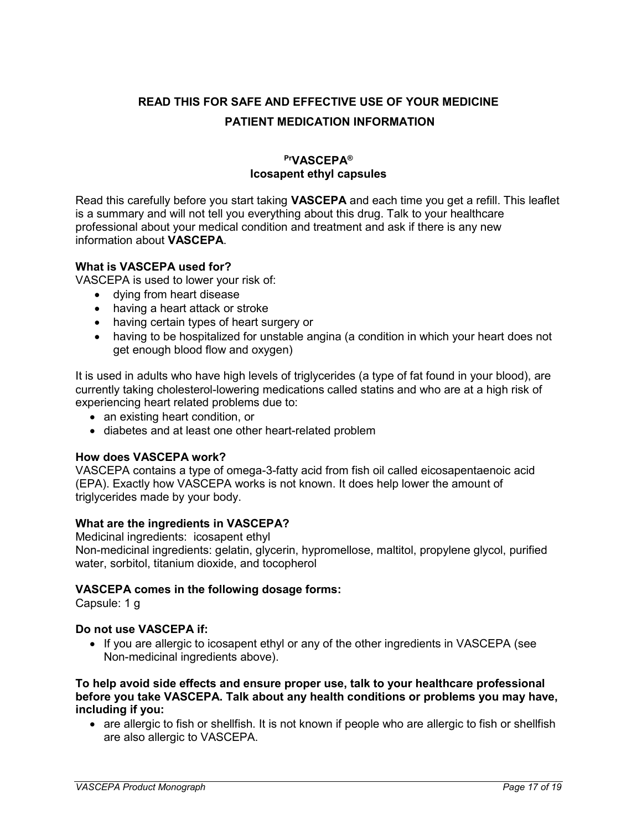# <span id="page-16-0"></span>**READ THIS FOR SAFE AND EFFECTIVE USE OF YOUR MEDICINE PATIENT MEDICATION INFORMATION**

## **PrVASCEPA® Icosapent ethyl capsules**

Read this carefully before you start taking **VASCEPA** and each time you get a refill. This leaflet is a summary and will not tell you everything about this drug. Talk to your healthcare professional about your medical condition and treatment and ask if there is any new information about **VASCEPA**.

### **What is VASCEPA used for?**

VASCEPA is used to lower your risk of:

- dying from heart disease
- having a heart attack or stroke
- having certain types of heart surgery or
- having to be hospitalized for unstable angina (a condition in which your heart does not get enough blood flow and oxygen)

It is used in adults who have high levels of triglycerides (a type of fat found in your blood), are currently taking cholesterol-lowering medications called statins and who are at a high risk of experiencing heart related problems due to:

- an existing heart condition, or
- diabetes and at least one other heart-related problem

#### **How does VASCEPA work?**

VASCEPA contains a type of omega-3-fatty acid from fish oil called eicosapentaenoic acid (EPA). Exactly how VASCEPA works is not known. It does help lower the amount of triglycerides made by your body.

#### **What are the ingredients in VASCEPA?**

Medicinal ingredients:icosapent ethyl Non-medicinal ingredients: gelatin, glycerin, hypromellose, maltitol, propylene glycol, purified water, sorbitol, titanium dioxide, and tocopherol

#### **VASCEPA comes in the following dosage forms:**

Capsule: 1 g

#### **Do not use VASCEPA if:**

• If you are allergic to icosapent ethyl or any of the other ingredients in VASCEPA (see Non-medicinal ingredients above).

#### **To help avoid side effects and ensure proper use, talk to your healthcare professional before you take VASCEPA. Talk about any health conditions or problems you may have, including if you:**

• are allergic to fish or shellfish. It is not known if people who are allergic to fish or shellfish are also allergic to VASCEPA.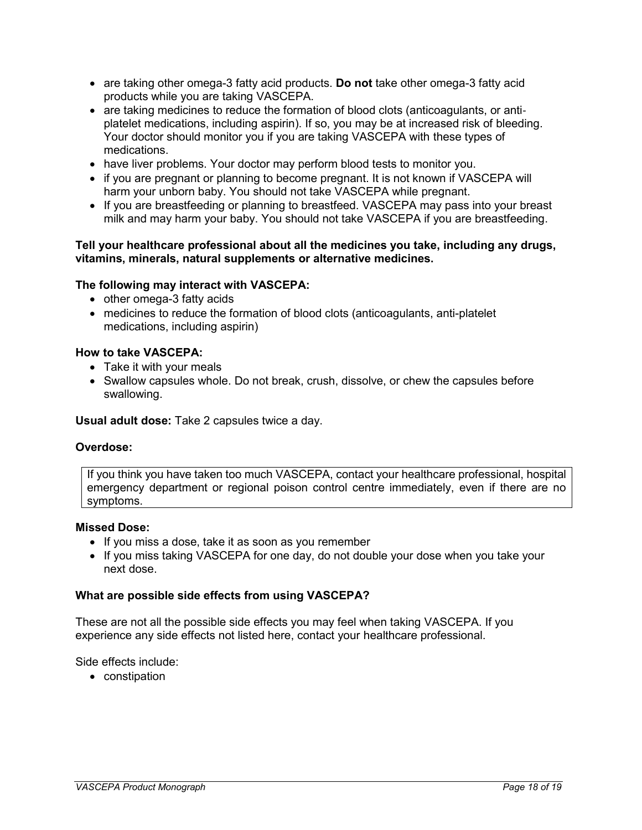- are taking other omega-3 fatty acid products. **Do not** take other omega-3 fatty acid products while you are taking VASCEPA.
- are taking medicines to reduce the formation of blood clots (anticoagulants, or antiplatelet medications, including aspirin). If so, you may be at increased risk of bleeding. Your doctor should monitor you if you are taking VASCEPA with these types of medications.
- have liver problems. Your doctor may perform blood tests to monitor you.
- if you are pregnant or planning to become pregnant. It is not known if VASCEPA will harm your unborn baby. You should not take VASCEPA while pregnant.
- If you are breastfeeding or planning to breastfeed. VASCEPA may pass into your breast milk and may harm your baby. You should not take VASCEPA if you are breastfeeding.

#### **Tell your healthcare professional about all the medicines you take, including any drugs, vitamins, minerals, natural supplements or alternative medicines.**

#### **The following may interact with VASCEPA:**

- other omega-3 fatty acids
- medicines to reduce the formation of blood clots (anticoagulants, anti-platelet medications, including aspirin)

#### **How to take VASCEPA:**

- Take it with your meals
- Swallow capsules whole. Do not break, crush, dissolve, or chew the capsules before swallowing.

**Usual adult dose:** Take 2 capsules twice a day.

#### **Overdose:**

If you think you have taken too much VASCEPA, contact your healthcare professional, hospital emergency department or regional poison control centre immediately, even if there are no symptoms.

#### **Missed Dose:**

- If you miss a dose, take it as soon as you remember
- If you miss taking VASCEPA for one day, do not double your dose when you take your next dose.

#### **What are possible side effects from using VASCEPA?**

These are not all the possible side effects you may feel when taking VASCEPA. If you experience any side effects not listed here, contact your healthcare professional.

Side effects include:

• constipation